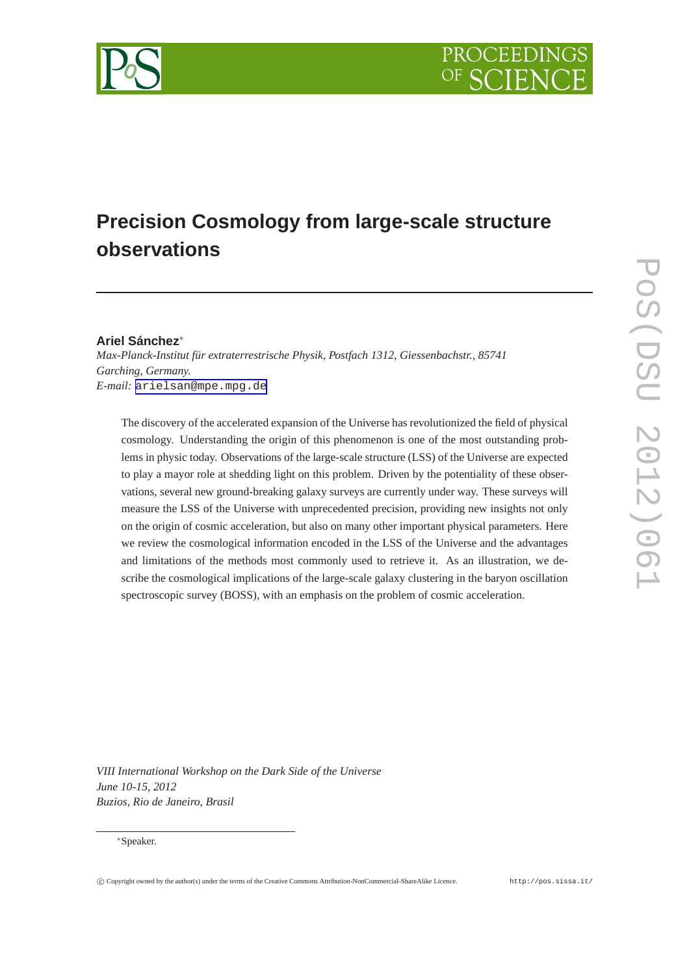

# **Precision Cosmology from large-scale structure observations**

## **Ariel Sánchez**∗

*Max-Planck-Institut für extraterrestrische Physik, Postfach 1312, Giessenbachstr., 85741 Garching, Germany. E-mail:* [arielsan@mpe.mpg.de](mailto:arielsan@mpe.mpg.de)

The discovery of the accelerated expansion of the Universe has revolutionized the field of physical cosmology. Understanding the origin of this phenomenon is one of the most outstanding problems in physic today. Observations of the large-scale structure (LSS) of the Universe are expected to play a mayor role at shedding light on this problem. Driven by the potentiality of these observations, several new ground-breaking galaxy surveys are currently under way. These surveys will measure the LSS of the Universe with unprecedented precision, providing new insights not only on the origin of cosmic acceleration, but also on many other important physical parameters. Here we review the cosmological information encoded in the LSS of the Universe and the advantages and limitations of the methods most commonly used to retrieve it. As an illustration, we describe the cosmological implications of the large-scale galaxy clustering in the baryon oscillation spectroscopic survey (BOSS), with an emphasis on the problem of cosmic acceleration.

*VIII International Workshop on the Dark Side of the Universe June 10-15, 2012 Buzios, Rio de Janeiro, Brasil*

#### ∗Speaker.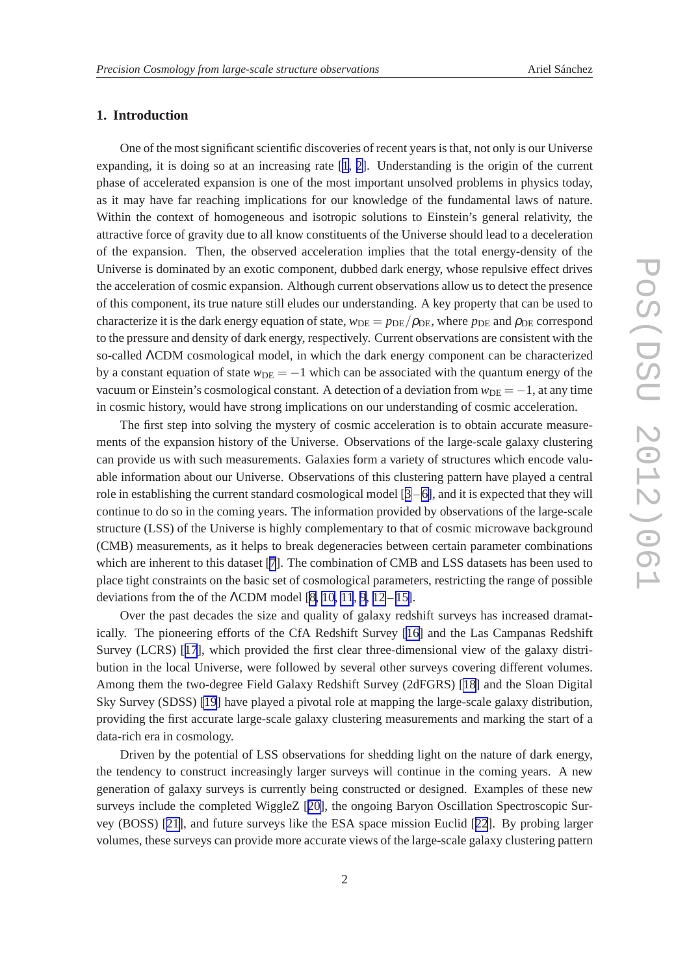## **1. Introduction**

One of the most significant scientific discoveries of recent years is that, not only is our Universe expanding, it is doing so at an increasing rate [[1](#page-13-0), [2\]](#page-13-0). Understanding is the origin of the current phase of accelerated expansion is one of the most important unsolved problems in physics today, as it may have far reaching implications for our knowledge of the fundamental laws of nature. Within the context of homogeneous and isotropic solutions to Einstein's general relativity, the attractive force of gravity due to all know constituents of the Universe should lead to a deceleration of the expansion. Then, the observed acceleration implies that the total energy-density of the Universe is dominated by an exotic component, dubbed dark energy, whose repulsive effect drives the acceleration of cosmic expansion. Although current observations allow us to detect the presence of this component, its true nature still eludes our understanding. A key property that can be used to characterize it is the dark energy equation of state,  $w_{DE} = p_{DE}/\rho_{DE}$ , where  $p_{DE}$  and  $\rho_{DE}$  correspond to the pressure and density of dark energy, respectively. Current observations are consistent with the so-called ΛCDM cosmological model, in which the dark energy component can be characterized by a constant equation of state  $w_{DE} = -1$  which can be associated with the quantum energy of the vacuum or Einstein's cosmological constant. A detection of a deviation from  $w_{DE} = -1$ , at any time in cosmic history, would have strong implications on our understanding of cosmic acceleration.

The first step into solving the mystery of cosmic acceleration is to obtain accurate measurements of the expansion history of the Universe. Observations of the large-scale galaxy clustering can provide us with such measurements. Galaxies form a variety of structures which encode valuable information about our Universe. Observations of this clustering pattern have played a central role in establishing the current standard cosmological model  $[3 - 6]$  $[3 - 6]$  $[3 - 6]$  $[3 - 6]$ , and it is expected that they will continue to do so in the coming years. The information provided by observations of the large-scale structure (LSS) of the Universe is highly complementary to that of cosmic microwave background (CMB) measurements, as it helps to break degeneracies between certain parameter combinations which are inherent to this dataset [[7](#page-13-0)]. The combination of CMB and LSS datasets has been used to place tight constraints on the basic set of cosmological parameters, restricting the range of possible deviations from the of the  $\Lambda$ CDM model [\[8, 10](#page-13-0), [11](#page-14-0), [9](#page-13-0), [12](#page-14-0) – [15\]](#page-14-0).

Over the past decades the size and quality of galaxy redshift surveys has increased dramatically. The pioneering efforts of the CfA Redshift Survey [\[16\]](#page-14-0) and the Las Campanas Redshift Survey (LCRS) [[17](#page-14-0)], which provided the first clear three-dimensional view of the galaxy distribution in the local Universe, were followed by several other surveys covering different volumes. Among them the two-degree Field Galaxy Redshift Survey (2dFGRS) [\[18\]](#page-14-0) and the Sloan Digital Sky Survey (SDSS) [\[19](#page-14-0)] have played a pivotal role at mapping the large-scale galaxy distribution, providing the first accurate large-scale galaxy clustering measurements and marking the start of a data-rich era in cosmology.

Driven by the potential of LSS observations for shedding light on the nature of dark energy, the tendency to construct increasingly larger surveys will continue in the coming years. A new generation of galaxy surveys is currently being constructed or designed. Examples of these new surveys include the completed WiggleZ [[20\]](#page-14-0), the ongoing Baryon Oscillation Spectroscopic Survey (BOSS) [[21\]](#page-14-0), and future surveys like the ESA space mission Euclid [[22](#page-14-0)]. By probing larger volumes, these surveys can provide more accurate views of the large-scale galaxy clustering pattern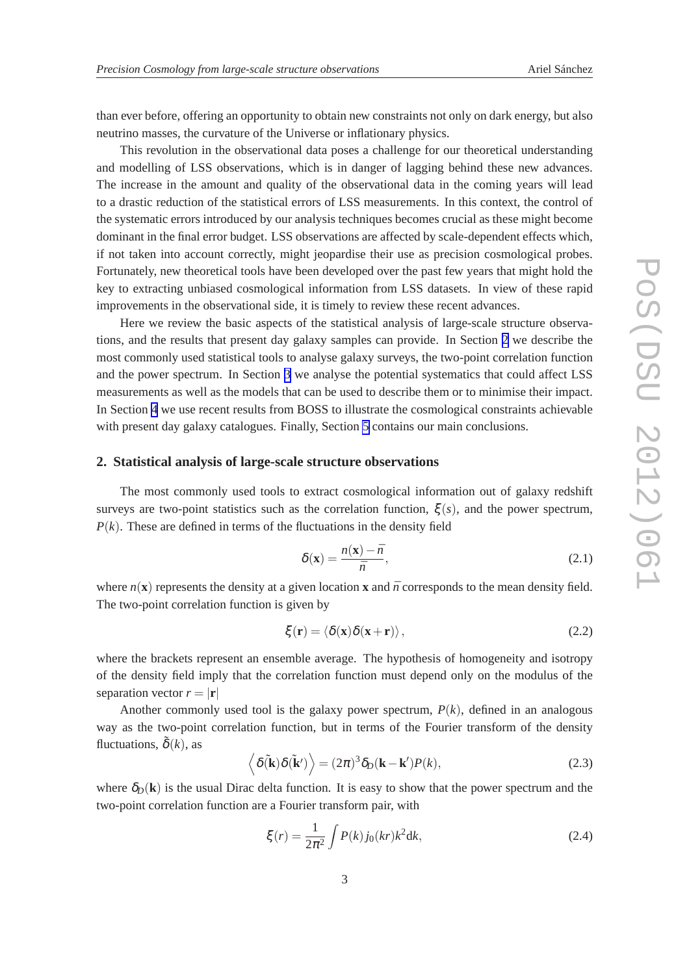<span id="page-2-0"></span>than ever before, offering an opportunity to obtain new constraints not only on dark energy, but also neutrino masses, the curvature of the Universe or inflationary physics.

This revolution in the observational data poses a challenge for our theoretical understanding and modelling of LSS observations, which is in danger of lagging behind these new advances. The increase in the amount and quality of the observational data in the coming years will lead to a drastic reduction of the statistical errors of LSS measurements. In this context, the control of the systematic errors introduced by our analysis techniques becomes crucial as these might become dominant in the final error budget. LSS observations are affected by scale-dependent effects which, if not taken into account correctly, might jeopardise their use as precision cosmological probes. Fortunately, new theoretical tools have been developed over the past few years that might hold the key to extracting unbiased cosmological information from LSS datasets. In view of these rapid improvements in the observational side, it is timely to review these recent advances.

Here we review the basic aspects of the statistical analysis of large-scale structure observations, and the results that present day galaxy samples can provide. In Section 2 we describe the most commonly used statistical tools to analyse galaxy surveys, the two-point correlation function and the power spectrum. In Section [3](#page-4-0) we analyse the potential systematics that could affect LSS measurements as well as the models that can be used to describe them or to minimise their impact. In Section [4](#page-9-0) we use recent results from BOSS to illustrate the cosmological constraints achievable with present day galaxy catalogues. Finally, Section [5](#page-12-0) contains our main conclusions.

## **2. Statistical analysis of large-scale structure observations**

The most commonly used tools to extract cosmological information out of galaxy redshift surveys are two-point statistics such as the correlation function,  $\xi(s)$ , and the power spectrum,  $P(k)$ . These are defined in terms of the fluctuations in the density field

$$
\delta(\mathbf{x}) = \frac{n(\mathbf{x}) - \bar{n}}{\bar{n}},\tag{2.1}
$$

where  $n(x)$  represents the density at a given location **x** and  $\bar{n}$  corresponds to the mean density field. The two-point correlation function is given by

$$
\xi(\mathbf{r}) = \langle \delta(\mathbf{x})\delta(\mathbf{x} + \mathbf{r}) \rangle, \tag{2.2}
$$

where the brackets represent an ensemble average. The hypothesis of homogeneity and isotropy of the density field imply that the correlation function must depend only on the modulus of the separation vector  $r = |\mathbf{r}|$ 

Another commonly used tool is the galaxy power spectrum,  $P(k)$ , defined in an analogous way as the two-point correlation function, but in terms of the Fourier transform of the density fluctuations,  $\tilde{\delta}(k)$ , as

$$
\langle \delta(\mathbf{\tilde{k}})\delta(\mathbf{\tilde{k}}') \rangle = (2\pi)^3 \delta_D(\mathbf{k} - \mathbf{k}')P(k), \qquad (2.3)
$$

where  $\delta_D(\mathbf{k})$  is the usual Dirac delta function. It is easy to show that the power spectrum and the two-point correlation function are a Fourier transform pair, with

$$
\xi(r) = \frac{1}{2\pi^2} \int P(k) j_0(kr) k^2 dk,
$$
\n(2.4)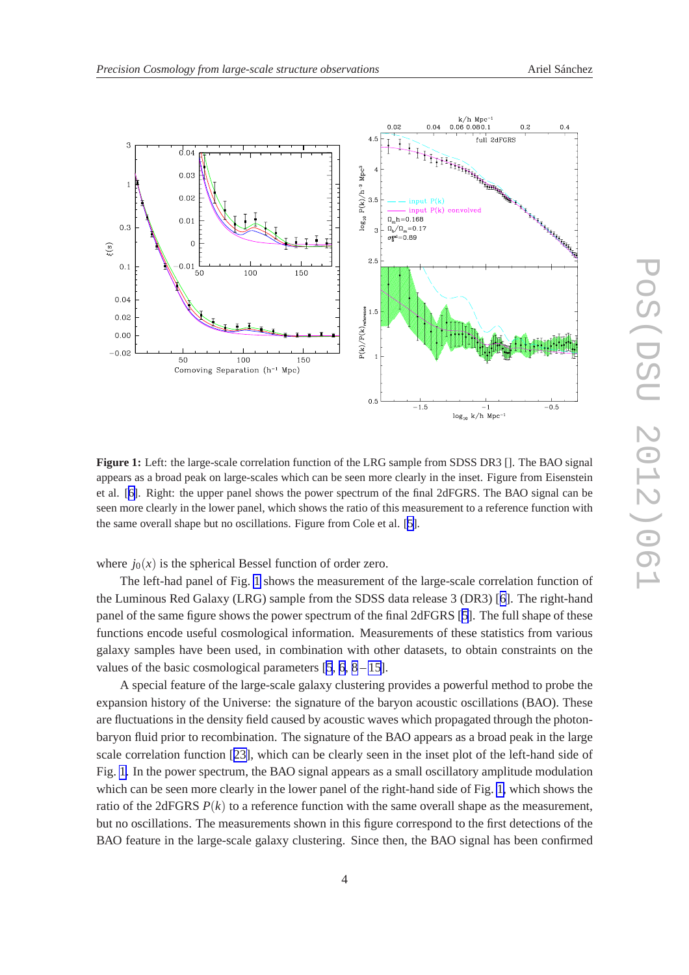<span id="page-3-0"></span>

**Figure 1:** Left: the large-scale correlation function of the LRG sample from SDSS DR3 []. The BAO signal appears as a broad peak on large-scales which can be seen more clearly in the inset. Figure from Eisenstein et al. [[6\]](#page-13-0). Right: the upper panel shows the power spectrum of the final 2dFGRS. The BAO signal can be seen more clearly in the lower panel, which shows the ratio of this measurement to a reference function with the same overall shape but no oscillations. Figure from Cole et al. [[5\]](#page-13-0).

where  $j_0(x)$  is the spherical Bessel function of order zero.

The left-had panel of Fig. 1 shows the measurement of the large-scale correlation function of the Luminous Red Galaxy (LRG) sample from the SDSS data release 3 (DR3) [[6](#page-13-0)]. The right-hand panel of the same figure shows the power spectrum of the final 2dFGRS [[5](#page-13-0)]. The full shape of these functions encode useful cosmological information. Measurements of these statistics from various galaxy samples have been used, in combination with other datasets, to obtain constraints on the values of the basic cosmological parameters  $[5, 6, 8-15]$  $[5, 6, 8-15]$  $[5, 6, 8-15]$  $[5, 6, 8-15]$  $[5, 6, 8-15]$  $[5, 6, 8-15]$  $[5, 6, 8-15]$ .

A special feature of the large-scale galaxy clustering provides a powerful method to probe the expansion history of the Universe: the signature of the baryon acoustic oscillations (BAO). These are fluctuations in the density field caused by acoustic waves which propagated through the photonbaryon fluid prior to recombination. The signature of the BAO appears as a broad peak in the large scale correlation function [[23\]](#page-14-0), which can be clearly seen in the inset plot of the left-hand side of Fig. 1. In the power spectrum, the BAO signal appears as a small oscillatory amplitude modulation which can be seen more clearly in the lower panel of the right-hand side of Fig. 1, which shows the ratio of the 2dFGRS  $P(k)$  to a reference function with the same overall shape as the measurement, but no oscillations. The measurements shown in this figure correspond to the first detections of the BAO feature in the large-scale galaxy clustering. Since then, the BAO signal has been confirmed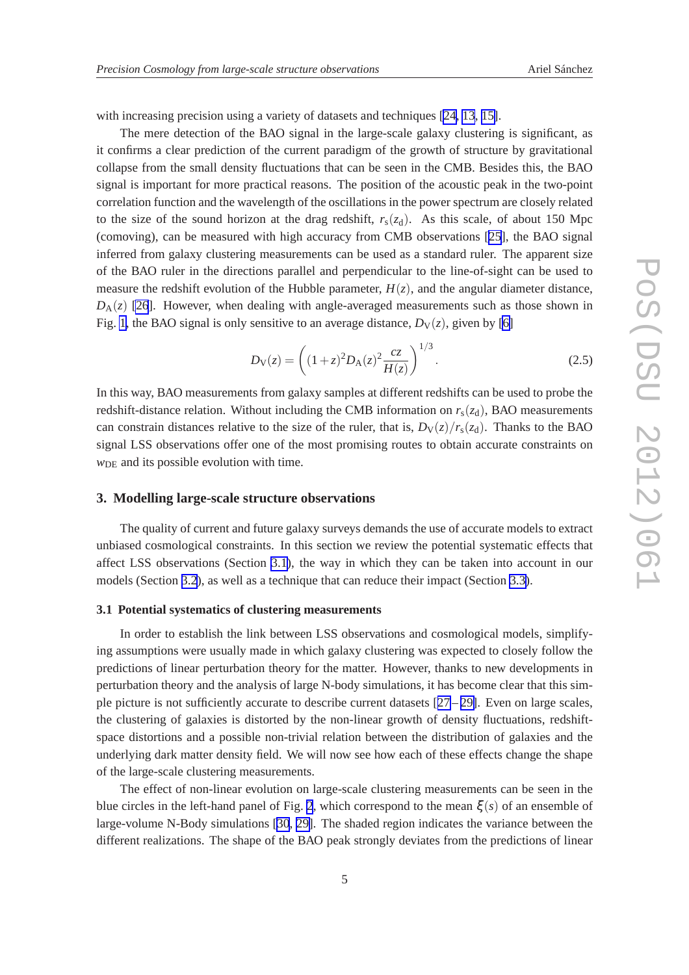<span id="page-4-0"></span>with increasing precision using a variety of datasets and techniques [\[24, 13](#page-14-0), [15\]](#page-14-0).

The mere detection of the BAO signal in the large-scale galaxy clustering is significant, as it confirms a clear prediction of the current paradigm of the growth of structure by gravitational collapse from the small density fluctuations that can be seen in the CMB. Besides this, the BAO signal is important for more practical reasons. The position of the acoustic peak in the two-point correlation function and the wavelength of the oscillations in the power spectrum are closely related to the size of the sound horizon at the drag redshift,  $r_s(z_d)$ . As this scale, of about 150 Mpc (comoving), can be measured with high accuracy from CMB observations [\[25\]](#page-14-0), the BAO signal inferred from galaxy clustering measurements can be used as a standard ruler. The apparent size of the BAO ruler in the directions parallel and perpendicular to the line-of-sight can be used to measure the redshift evolution of the Hubble parameter,  $H(z)$ , and the angular diameter distance,  $D_A(z)$  [\[26](#page-14-0)]. However, when dealing with angle-averaged measurements such as those shown in Fig. [1,](#page-3-0) the BAO signal is only sensitive to an average distance,  $D_V(z)$ , given by [\[6\]](#page-13-0)

$$
D_{\rm V}(z) = \left( (1+z)^2 D_{\rm A}(z)^2 \frac{cz}{H(z)} \right)^{1/3}.
$$
 (2.5)

In this way, BAO measurements from galaxy samples at different redshifts can be used to probe the redshift-distance relation. Without including the CMB information on  $r_s(z_d)$ , BAO measurements can constrain distances relative to the size of the ruler, that is,  $D_V(z)/r_s(z_d)$ . Thanks to the BAO signal LSS observations offer one of the most promising routes to obtain accurate constraints on *w*<sub>DE</sub> and its possible evolution with time.

#### **3. Modelling large-scale structure observations**

The quality of current and future galaxy surveys demands the use of accurate models to extract unbiased cosmological constraints. In this section we review the potential systematic effects that affect LSS observations (Section 3.1), the way in which they can be taken into account in our models (Section [3.2](#page-6-0)), as well as a technique that can reduce their impact (Section [3.3\)](#page-8-0).

#### **3.1 Potential systematics of clustering measurements**

In order to establish the link between LSS observations and cosmological models, simplifying assumptions were usually made in which galaxy clustering was expected to closely follow the predictions of linear perturbation theory for the matter. However, thanks to new developments in perturbation theory and the analysis of large N-body simulations, it has become clear that this simple picture is not sufficiently accurate to describe current datasets  $[27-29]$  $[27-29]$  $[27-29]$  $[27-29]$ . Even on large scales, the clustering of galaxies is distorted by the non-linear growth of density fluctuations, redshiftspace distortions and a possible non-trivial relation between the distribution of galaxies and the underlying dark matter density field. We will now see how each of these effects change the shape of the large-scale clustering measurements.

The effect of non-linear evolution on large-scale clustering measurements can be seen in the blue circles in the left-hand panel of Fig. [2](#page-5-0), which correspond to the mean  $\xi(s)$  of an ensemble of large-volume N-Body simulations [\[30](#page-15-0), [29\]](#page-14-0). The shaded region indicates the variance between the different realizations. The shape of the BAO peak strongly deviates from the predictions of linear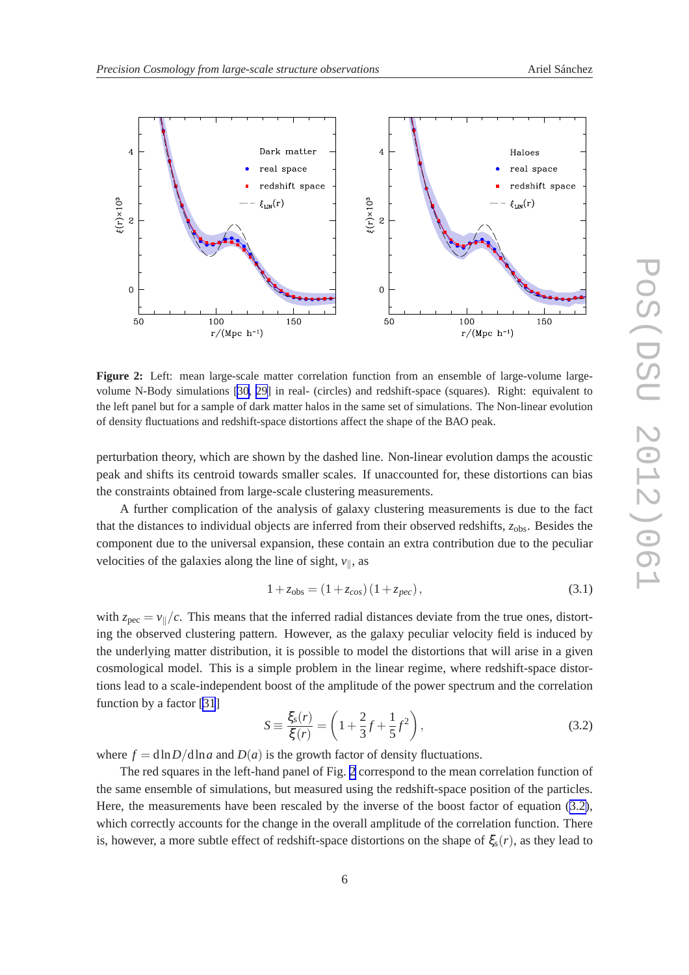<span id="page-5-0"></span>

**Figure 2:** Left: mean large-scale matter correlation function from an ensemble of large-volume largevolume N-Body simulations [[30,](#page-15-0) [29\]](#page-14-0) in real- (circles) and redshift-space (squares). Right: equivalent to the left panel but for a sample of dark matter halos in the same set of simulations. The Non-linear evolution of density fluctuations and redshift-space distortions affect the shape of the BAO peak.

perturbation theory, which are shown by the dashed line. Non-linear evolution damps the acoustic peak and shifts its centroid towards smaller scales. If unaccounted for, these distortions can bias the constraints obtained from large-scale clustering measurements.

A further complication of the analysis of galaxy clustering measurements is due to the fact that the distances to individual objects are inferred from their observed redshifts, *z*obs. Besides the component due to the universal expansion, these contain an extra contribution due to the peculiar velocities of the galaxies along the line of sight,  $v_{\parallel}$ , as

$$
1 + z_{obs} = (1 + z_{cos})(1 + z_{pec}),
$$
\n(3.1)

with  $z_{\text{pec}} = v_{\parallel}/c$ . This means that the inferred radial distances deviate from the true ones, distorting the observed clustering pattern. However, as the galaxy peculiar velocity field is induced by the underlying matter distribution, it is possible to model the distortions that will arise in a given cosmological model. This is a simple problem in the linear regime, where redshift-space distortions lead to a scale-independent boost of the amplitude of the power spectrum and the correlation function by a factor [\[31](#page-15-0)]

$$
S \equiv \frac{\xi_{\rm s}(r)}{\xi(r)} = \left(1 + \frac{2}{3}f + \frac{1}{5}f^2\right),\tag{3.2}
$$

where  $f = \frac{d \ln D}{d \ln a}$  and  $D(a)$  is the growth factor of density fluctuations.

The red squares in the left-hand panel of Fig. 2 correspond to the mean correlation function of the same ensemble of simulations, but measured using the redshift-space position of the particles. Here, the measurements have been rescaled by the inverse of the boost factor of equation (3.2), which correctly accounts for the change in the overall amplitude of the correlation function. There is, however, a more subtle effect of redshift-space distortions on the shape of  $\xi_s(r)$ , as they lead to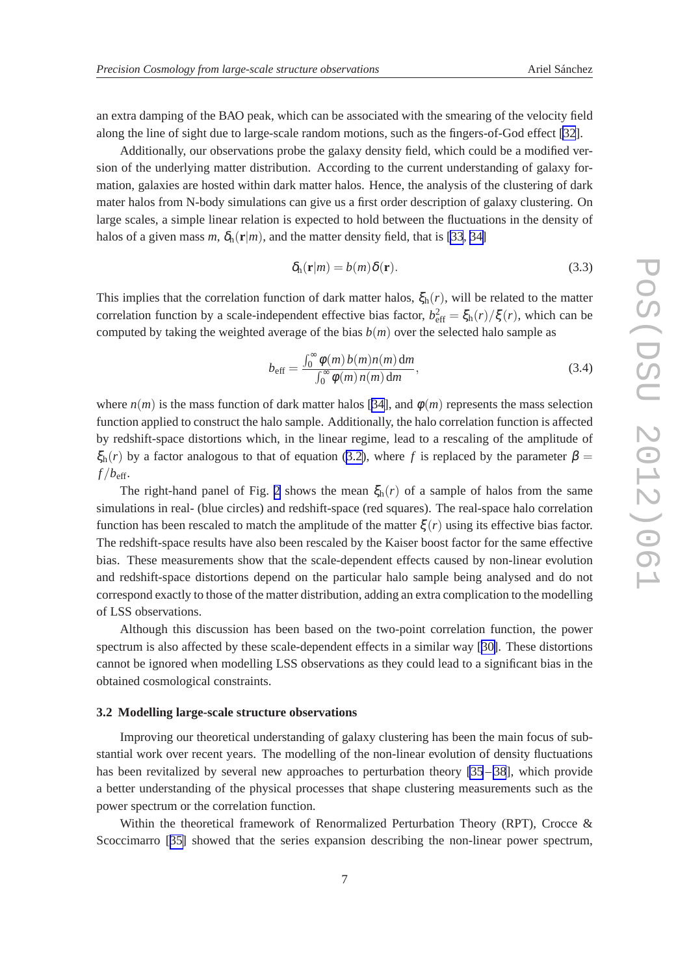<span id="page-6-0"></span>an extra damping of the BAO peak, which can be associated with the smearing of the velocity field along the line of sight due to large-scale random motions, such as the fingers-of-God effect [\[32](#page-15-0)].

Additionally, our observations probe the galaxy density field, which could be a modified version of the underlying matter distribution. According to the current understanding of galaxy formation, galaxies are hosted within dark matter halos. Hence, the analysis of the clustering of dark mater halos from N-body simulations can give us a first order description of galaxy clustering. On large scales, a simple linear relation is expected to hold between the fluctuations in the density of halos of a given mass *m*,  $\delta_h(\mathbf{r}|m)$ , and the matter density field, that is [\[33](#page-15-0), [34\]](#page-15-0)

$$
\delta_{\rm h}(\mathbf{r}|m) = b(m)\delta(\mathbf{r}).\tag{3.3}
$$

This implies that the correlation function of dark matter halos,  $\xi_h(r)$ , will be related to the matter correlation function by a scale-independent effective bias factor,  $b_{\text{eff}}^2 = \xi_h(r)/\xi(r)$ , which can be computed by taking the weighted average of the bias  $b(m)$  over the selected halo sample as

$$
b_{\text{eff}} = \frac{\int_0^\infty \phi(m) b(m) n(m) \, dm}{\int_0^\infty \phi(m) n(m) \, dm},\tag{3.4}
$$

where  $n(m)$  is the mass function of dark matter halos [\[34\]](#page-15-0), and  $\phi(m)$  represents the mass selection function applied to construct the halo sample. Additionally, the halo correlation function is affected by redshift-space distortions which, in the linear regime, lead to a rescaling of the amplitude of  $\xi_h(r)$  by a factor analogous to that of equation [\(3.2\)](#page-5-0), where f is replaced by the parameter  $\beta =$  $f/b_{\text{eff}}$ .

The right-hand panel of Fig. [2](#page-5-0) shows the mean  $\xi_h(r)$  of a sample of halos from the same simulations in real- (blue circles) and redshift-space (red squares). The real-space halo correlation function has been rescaled to match the amplitude of the matter  $\xi(r)$  using its effective bias factor. The redshift-space results have also been rescaled by the Kaiser boost factor for the same effective bias. These measurements show that the scale-dependent effects caused by non-linear evolution and redshift-space distortions depend on the particular halo sample being analysed and do not correspond exactly to those of the matter distribution, adding an extra complication to the modelling of LSS observations.

Although this discussion has been based on the two-point correlation function, the power spectrum is also affected by these scale-dependent effects in a similar way [[30\]](#page-15-0). These distortions cannot be ignored when modelling LSS observations as they could lead to a significant bias in the obtained cosmological constraints.

#### **3.2 Modelling large-scale structure observations**

Improving our theoretical understanding of galaxy clustering has been the main focus of substantial work over recent years. The modelling of the non-linear evolution of density fluctuations has been revitalized by several new approaches to perturbation theory  $[35-38]$  $[35-38]$ , which provide a better understanding of the physical processes that shape clustering measurements such as the power spectrum or the correlation function.

Within the theoretical framework of Renormalized Perturbation Theory (RPT), Crocce & Scoccimarro [[35\]](#page-15-0) showed that the series expansion describing the non-linear power spectrum,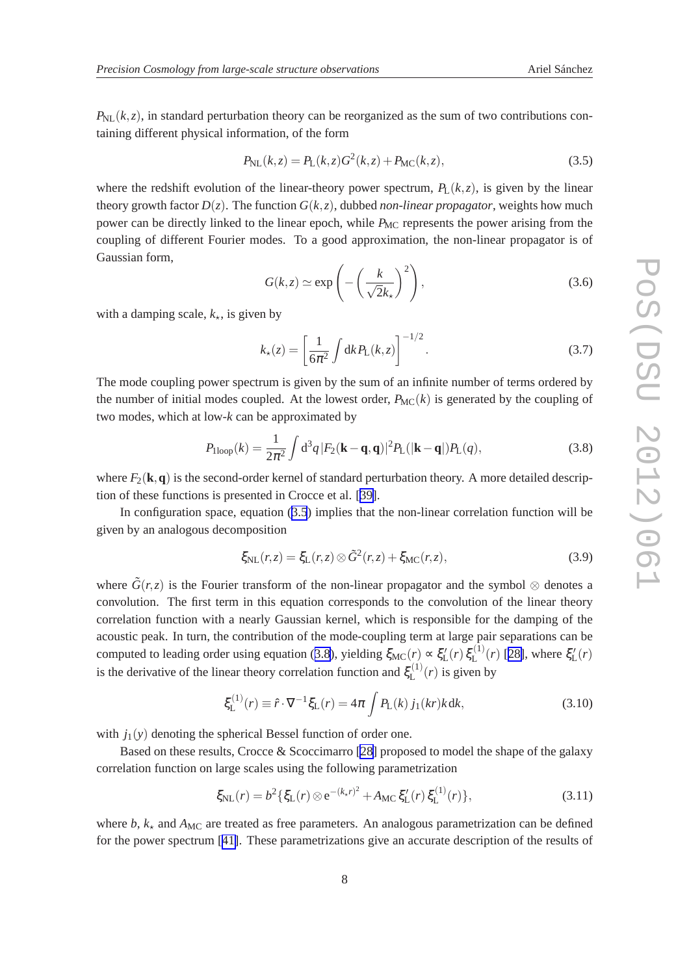<span id="page-7-0"></span> $P_{\text{NL}}(k, z)$ , in standard perturbation theory can be reorganized as the sum of two contributions containing different physical information, of the form

$$
P_{\rm NL}(k, z) = P_{\rm L}(k, z)G^2(k, z) + P_{\rm MC}(k, z),
$$
\n(3.5)

where the redshift evolution of the linear-theory power spectrum,  $P_L(k, z)$ , is given by the linear theory growth factor  $D(z)$ . The function  $G(k, z)$ , dubbed *non-linear propagator*, weights how much power can be directly linked to the linear epoch, while *P<sub>MC</sub>* represents the power arising from the coupling of different Fourier modes. To a good approximation, the non-linear propagator is of Gaussian form,

$$
G(k, z) \simeq \exp\left(-\left(\frac{k}{\sqrt{2}k_{\star}}\right)^{2}\right),\tag{3.6}
$$

with a damping scale,  $k_{\star}$ , is given by

$$
k_{\star}(z) = \left[\frac{1}{6\pi^2} \int \mathrm{d}k P_{\mathrm{L}}(k, z)\right]^{-1/2}.\tag{3.7}
$$

The mode coupling power spectrum is given by the sum of an infinite number of terms ordered by the number of initial modes coupled. At the lowest order,  $P_{MC}(k)$  is generated by the coupling of two modes, which at low-*k* can be approximated by

$$
P_{\text{1loop}}(k) = \frac{1}{2\pi^2} \int d^3q \, |F_2(\mathbf{k} - \mathbf{q}, \mathbf{q})|^2 P_{\text{L}}(|\mathbf{k} - \mathbf{q}|) P_{\text{L}}(q),\tag{3.8}
$$

where  $F_2(\mathbf{k},\mathbf{q})$  is the second-order kernel of standard perturbation theory. A more detailed description of these functions is presented in Crocce et al. [[39\]](#page-15-0).

In configuration space, equation (3.5) implies that the non-linear correlation function will be given by an analogous decomposition

$$
\xi_{\rm NL}(r,z) = \xi_{\rm L}(r,z) \otimes \tilde{G}^2(r,z) + \xi_{\rm MC}(r,z),\tag{3.9}
$$

where  $\tilde{G}(r, z)$  is the Fourier transform of the non-linear propagator and the symbol ⊗ denotes a convolution. The first term in this equation corresponds to the convolution of the linear theory correlation function with a nearly Gaussian kernel, which is responsible for the damping of the acoustic peak. In turn, the contribution of the mode-coupling term at large pair separations can be computed to leading order using equation (3.8), yielding  $\xi_{MC}(r) \propto \xi'_{L}(r) \xi^{(1)}_{L}$  $\mathcal{L}^{(1)}(r)$  [[28\]](#page-14-0), where  $\xi_{\text{L}}'(r)$ is the derivative of the linear theory correlation function and  $\xi_1^{(1)}$  $\mathcal{L}^{(1)}(r)$  is given by

$$
\xi_{\mathcal{L}}^{(1)}(r) \equiv \hat{r} \cdot \nabla^{-1} \xi_{\mathcal{L}}(r) = 4\pi \int P_{\mathcal{L}}(k) \, j_1(kr)k \, \mathrm{d}k,\tag{3.10}
$$

with  $j_1(y)$  denoting the spherical Bessel function of order one.

Based on these results, Crocce & Scoccimarro [\[28](#page-14-0)] proposed to model the shape of the galaxy correlation function on large scales using the following parametrization

$$
\xi_{\rm NL}(r) = b^2 \{ \xi_{\rm L}(r) \otimes e^{-(k_{\rm r}r)^2} + A_{\rm MC} \xi_{\rm L}'(r) \xi_{\rm L}^{(1)}(r) \},\tag{3.11}
$$

where  $b$ ,  $k_{\star}$  and  $A_{MC}$  are treated as free parameters. An analogous parametrization can be defined for the power spectrum [[41\]](#page-15-0). These parametrizations give an accurate description of the results of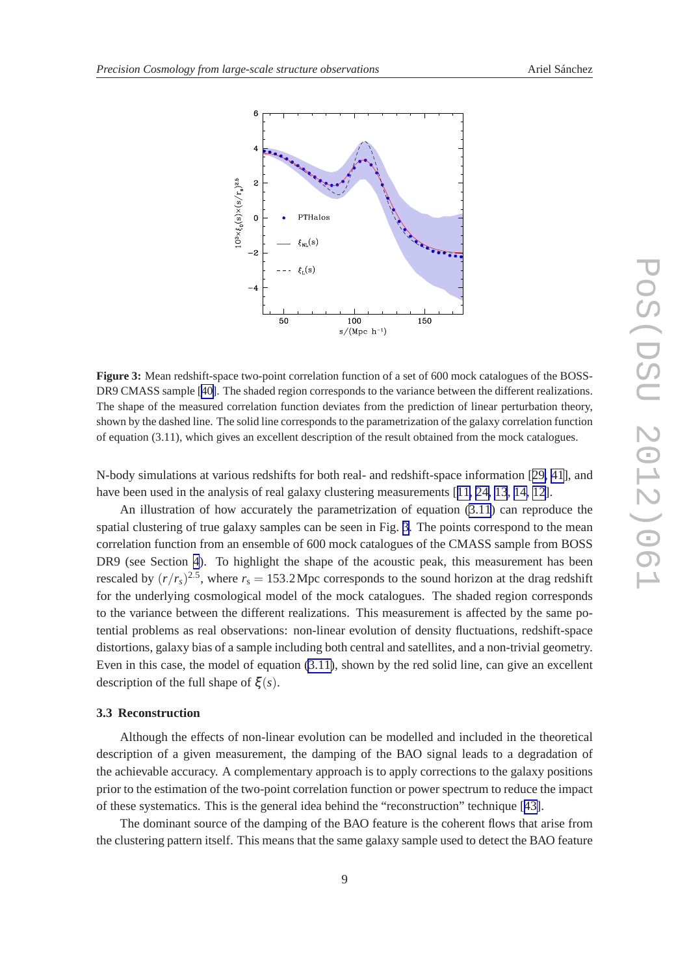<span id="page-8-0"></span>

**Figure 3:** Mean redshift-space two-point correlation function of a set of 600 mock catalogues of the BOSS-DR9 CMASS sample [[40\]](#page-15-0). The shaded region corresponds to the variance between the different realizations. The shape of the measured correlation function deviates from the prediction of linear perturbation theory, shown by the dashed line. The solid line corresponds to the parametrization of the galaxy correlation function of equation (3.11), which gives an excellent description of the result obtained from the mock catalogues.

N-body simulations at various redshifts for both real- and redshift-space information [[29,](#page-14-0) [41\]](#page-15-0), and have been used in the analysis of real galaxy clustering measurements [[11, 24, 13](#page-14-0), [14, 12](#page-14-0)].

An illustration of how accurately the parametrization of equation [\(3.11](#page-7-0)) can reproduce the spatial clustering of true galaxy samples can be seen in Fig. 3. The points correspond to the mean correlation function from an ensemble of 600 mock catalogues of the CMASS sample from BOSS DR9 (see Section [4](#page-9-0)). To highlight the shape of the acoustic peak, this measurement has been rescaled by  $(r/r_s)^{2.5}$ , where  $r_s = 153.2 \text{ Mpc}$  corresponds to the sound horizon at the drag redshift for the underlying cosmological model of the mock catalogues. The shaded region corresponds to the variance between the different realizations. This measurement is affected by the same potential problems as real observations: non-linear evolution of density fluctuations, redshift-space distortions, galaxy bias of a sample including both central and satellites, and a non-trivial geometry. Even in this case, the model of equation [\(3.11\)](#page-7-0), shown by the red solid line, can give an excellent description of the full shape of ξ (*s*).

## **3.3 Reconstruction**

Although the effects of non-linear evolution can be modelled and included in the theoretical description of a given measurement, the damping of the BAO signal leads to a degradation of the achievable accuracy. A complementary approach is to apply corrections to the galaxy positions prior to the estimation of the two-point correlation function or power spectrum to reduce the impact of these systematics. This is the general idea behind the "reconstruction" technique [[43\]](#page-15-0).

The dominant source of the damping of the BAO feature is the coherent flows that arise from the clustering pattern itself. This means that the same galaxy sample used to detect the BAO feature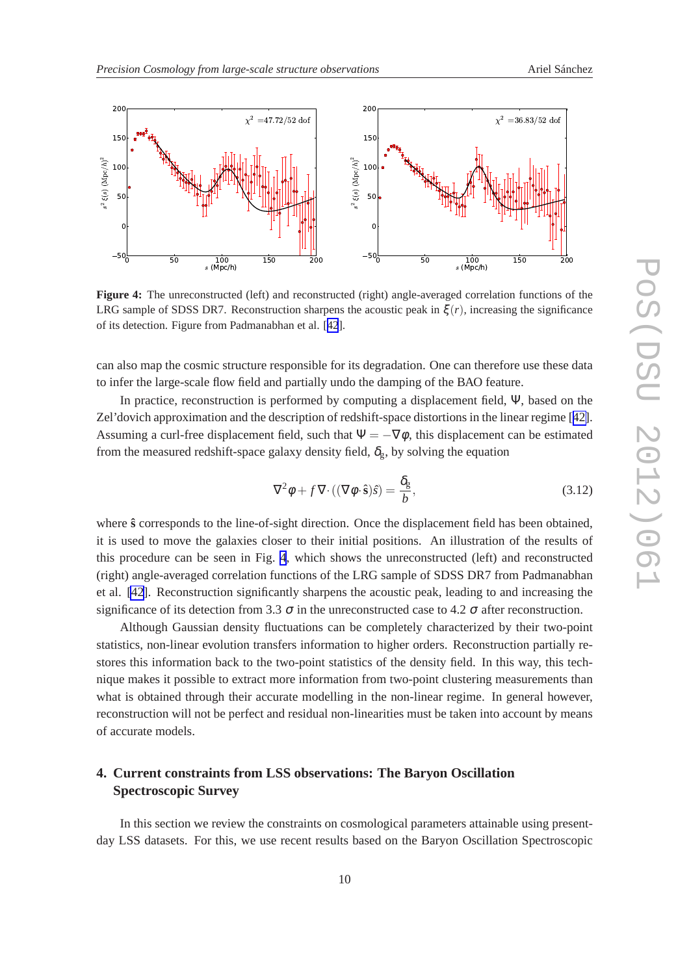<span id="page-9-0"></span>

**Figure 4:** The unreconstructed (left) and reconstructed (right) angle-averaged correlation functions of the LRG sample of SDSS DR7. Reconstruction sharpens the acoustic peak in  $\xi(r)$ , increasing the significance of its detection. Figure from Padmanabhan et al. [[42](#page-15-0)].

can also map the cosmic structure responsible for its degradation. One can therefore use these data to infer the large-scale flow field and partially undo the damping of the BAO feature.

In practice, reconstruction is performed by computing a displacement field, Ψ, based on the Zel'dovich approximation and the description of redshift-space distortions in the linear regime [[42\]](#page-15-0). Assuming a curl-free displacement field, such that  $\Psi = -\nabla \phi$ , this displacement can be estimated from the measured redshift-space galaxy density field,  $\delta_{g}$ , by solving the equation

$$
\nabla^2 \phi + f \nabla \cdot ((\nabla \phi \cdot \hat{\mathbf{s}})\hat{s}) = \frac{\delta_g}{b},\tag{3.12}
$$

where  $\hat{s}$  corresponds to the line-of-sight direction. Once the displacement field has been obtained, it is used to move the galaxies closer to their initial positions. An illustration of the results of this procedure can be seen in Fig. 4, which shows the unreconstructed (left) and reconstructed (right) angle-averaged correlation functions of the LRG sample of SDSS DR7 from Padmanabhan et al. [\[42](#page-15-0)]. Reconstruction significantly sharpens the acoustic peak, leading to and increasing the significance of its detection from 3.3  $\sigma$  in the unreconstructed case to 4.2  $\sigma$  after reconstruction.

Although Gaussian density fluctuations can be completely characterized by their two-point statistics, non-linear evolution transfers information to higher orders. Reconstruction partially restores this information back to the two-point statistics of the density field. In this way, this technique makes it possible to extract more information from two-point clustering measurements than what is obtained through their accurate modelling in the non-linear regime. In general however, reconstruction will not be perfect and residual non-linearities must be taken into account by means of accurate models.

# **4. Current constraints from LSS observations: The Baryon Oscillation Spectroscopic Survey**

In this section we review the constraints on cosmological parameters attainable using presentday LSS datasets. For this, we use recent results based on the Baryon Oscillation Spectroscopic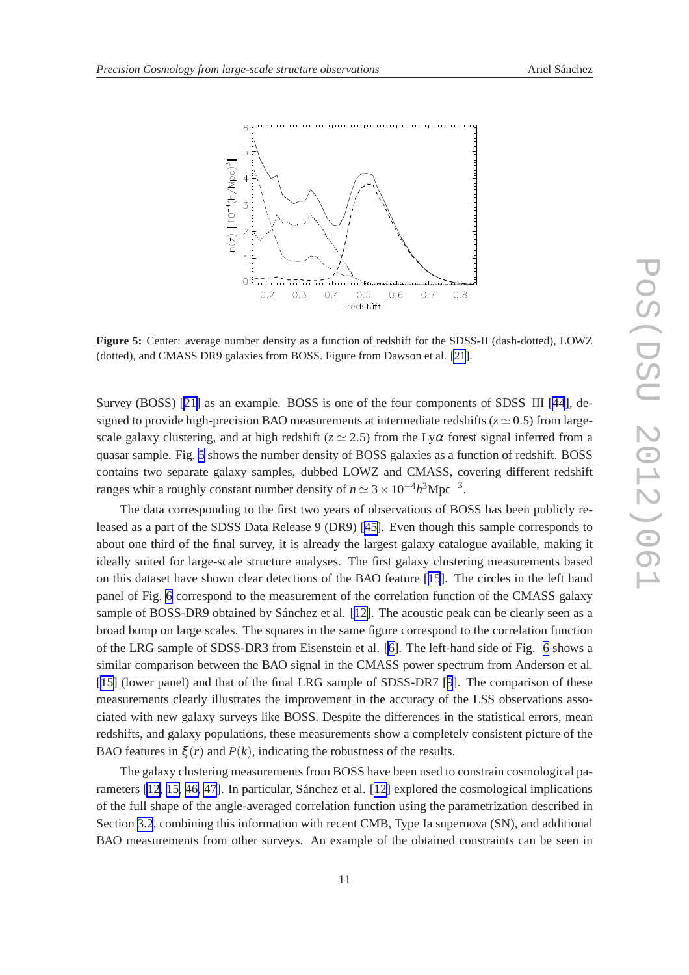

**Figure 5:** Center: average number density as a function of redshift for the SDSS-II (dash-dotted), LOWZ (dotted), and CMASS DR9 galaxies from BOSS. Figure from Dawson et al. [\[21](#page-14-0)].

Survey (BOSS) [[21\]](#page-14-0) as an example. BOSS is one of the four components of SDSS–III [\[44](#page-15-0)], designed to provide high-precision BAO measurements at intermediate redshifts ( $z \approx 0.5$ ) from largescale galaxy clustering, and at high redshift ( $z \approx 2.5$ ) from the Ly $\alpha$  forest signal inferred from a quasar sample. Fig. 5 shows the number density of BOSS galaxies as a function of redshift. BOSS contains two separate galaxy samples, dubbed LOWZ and CMASS, covering different redshift ranges whit a roughly constant number density of  $n \approx 3 \times 10^{-4} h^3 \text{Mpc}^{-3}$ .

The data corresponding to the first two years of observations of BOSS has been publicly released as a part of the SDSS Data Release 9 (DR9) [[45\]](#page-15-0). Even though this sample corresponds to about one third of the final survey, it is already the largest galaxy catalogue available, making it ideally suited for large-scale structure analyses. The first galaxy clustering measurements based on this dataset have shown clear detections of the BAO feature [[15](#page-14-0)]. The circles in the left hand panel of Fig. [6](#page-11-0) correspond to the measurement of the correlation function of the CMASS galaxy sample of BOSS-DR9 obtained by Sánchez et al. [[12\]](#page-14-0). The acoustic peak can be clearly seen as a broad bump on large scales. The squares in the same figure correspond to the correlation function of the LRG sample of SDSS-DR3 from Eisenstein et al. [\[6\]](#page-13-0). The left-hand side of Fig. [6](#page-11-0) shows a similar comparison between the BAO signal in the CMASS power spectrum from Anderson et al. [[15\]](#page-14-0) (lower panel) and that of the final LRG sample of SDSS-DR7 [[9](#page-13-0)]. The comparison of these measurements clearly illustrates the improvement in the accuracy of the LSS observations associated with new galaxy surveys like BOSS. Despite the differences in the statistical errors, mean redshifts, and galaxy populations, these measurements show a completely consistent picture of the BAO features in  $\xi(r)$  and  $P(k)$ , indicating the robustness of the results.

The galaxy clustering measurements from BOSS have been used to constrain cosmological parameters [\[12](#page-14-0), [15,](#page-14-0) [46, 47](#page-15-0)]. In particular, Sánchez et al. [\[12\]](#page-14-0) explored the cosmological implications of the full shape of the angle-averaged correlation function using the parametrization described in Section [3.2](#page-6-0), combining this information with recent CMB, Type Ia supernova (SN), and additional BAO measurements from other surveys. An example of the obtained constraints can be seen in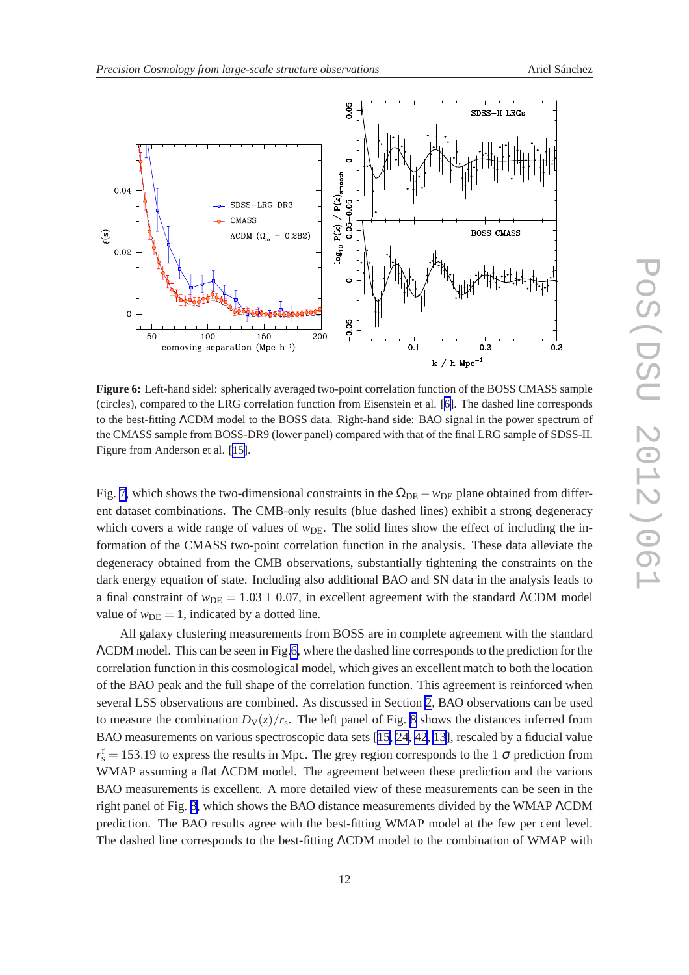<span id="page-11-0"></span>

**Figure 6:** Left-hand sidel: spherically averaged two-point correlation function of the BOSS CMASS sample (circles), compared to the LRG correlation function from Eisenstein et al. [[6\]](#page-13-0). The dashed line corresponds to the best-fitting ΛCDM model to the BOSS data. Right-hand side: BAO signal in the power spectrum of the CMASS sample from BOSS-DR9 (lower panel) compared with that of the final LRG sample of SDSS-II. Figure from Anderson et al. [[15\]](#page-14-0).

Fig. [7,](#page-12-0) which shows the two-dimensional constraints in the  $\Omega_{\text{DE}} - w_{\text{DE}}$  plane obtained from different dataset combinations. The CMB-only results (blue dashed lines) exhibit a strong degeneracy which covers a wide range of values of  $w_{DE}$ . The solid lines show the effect of including the information of the CMASS two-point correlation function in the analysis. These data alleviate the degeneracy obtained from the CMB observations, substantially tightening the constraints on the dark energy equation of state. Including also additional BAO and SN data in the analysis leads to a final constraint of  $w_{DE} = 1.03 \pm 0.07$ , in excellent agreement with the standard  $\Lambda$ CDM model value of  $w<sub>DE</sub> = 1$ , indicated by a dotted line.

All galaxy clustering measurements from BOSS are in complete agreement with the standard ΛCDM model. This can be seen in Fig.6, where the dashed line corresponds to the prediction for the correlation function in this cosmological model, which gives an excellent match to both the location of the BAO peak and the full shape of the correlation function. This agreement is reinforced when several LSS observations are combined. As discussed in Section [2,](#page-2-0) BAO observations can be used to measure the combination  $D_V(z)/r_s$ . The left panel of Fig. [8](#page-13-0) shows the distances inferred from BAO measurements on various spectroscopic data sets [[15, 24,](#page-14-0) [42](#page-15-0), [13](#page-14-0)], rescaled by a fiducial value  $r_s^f = 153.19$  to express the results in Mpc. The grey region corresponds to the 1  $\sigma$  prediction from WMAP assuming a flat ΛCDM model. The agreement between these prediction and the various BAO measurements is excellent. A more detailed view of these measurements can be seen in the right panel of Fig. [8,](#page-13-0) which shows the BAO distance measurements divided by the WMAP ΛCDM prediction. The BAO results agree with the best-fitting WMAP model at the few per cent level. The dashed line corresponds to the best-fitting ΛCDM model to the combination of WMAP with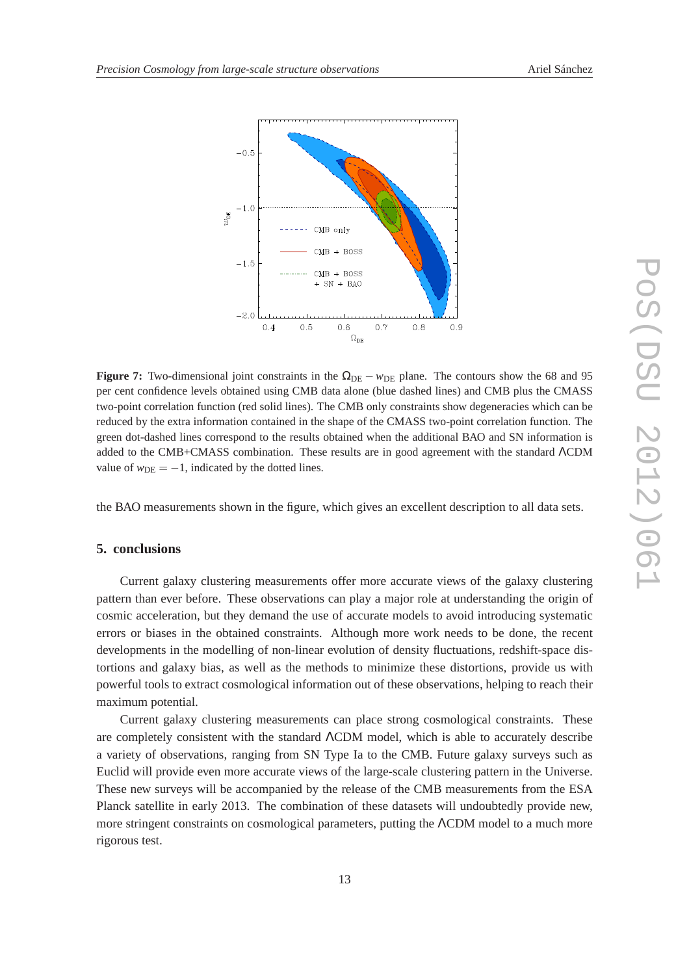<span id="page-12-0"></span>

**Figure 7:** Two-dimensional joint constraints in the  $\Omega_{DE} - w_{DE}$  plane. The contours show the 68 and 95 per cent confidence levels obtained using CMB data alone (blue dashed lines) and CMB plus the CMASS two-point correlation function (red solid lines). The CMB only constraints show degeneracies which can be reduced by the extra information contained in the shape of the CMASS two-point correlation function. The green dot-dashed lines correspond to the results obtained when the additional BAO and SN information is added to the CMB+CMASS combination. These results are in good agreement with the standard ΛCDM value of  $w<sub>DE</sub> = -1$ , indicated by the dotted lines.

the BAO measurements shown in the figure, which gives an excellent description to all data sets.

### **5. conclusions**

Current galaxy clustering measurements offer more accurate views of the galaxy clustering pattern than ever before. These observations can play a major role at understanding the origin of cosmic acceleration, but they demand the use of accurate models to avoid introducing systematic errors or biases in the obtained constraints. Although more work needs to be done, the recent developments in the modelling of non-linear evolution of density fluctuations, redshift-space distortions and galaxy bias, as well as the methods to minimize these distortions, provide us with powerful tools to extract cosmological information out of these observations, helping to reach their maximum potential.

Current galaxy clustering measurements can place strong cosmological constraints. These are completely consistent with the standard ΛCDM model, which is able to accurately describe a variety of observations, ranging from SN Type Ia to the CMB. Future galaxy surveys such as Euclid will provide even more accurate views of the large-scale clustering pattern in the Universe. These new surveys will be accompanied by the release of the CMB measurements from the ESA Planck satellite in early 2013. The combination of these datasets will undoubtedly provide new, more stringent constraints on cosmological parameters, putting the ΛCDM model to a much more rigorous test.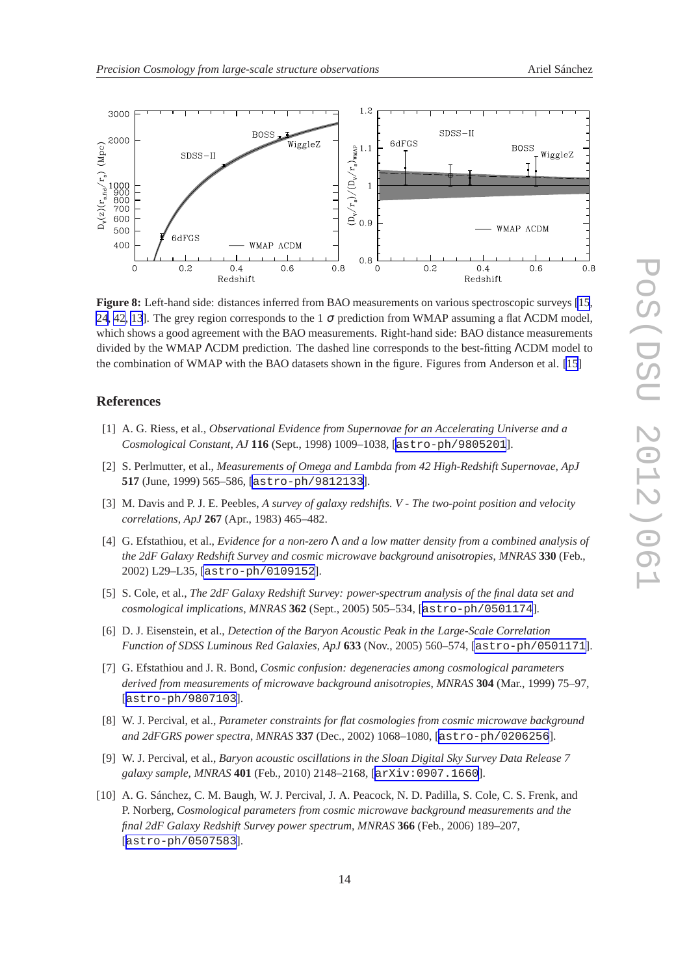<span id="page-13-0"></span>

**Figure 8:** Left-hand side: distances inferred from BAO measurements on various spectroscopic surveys [\[15](#page-14-0), [24](#page-14-0), [42](#page-15-0), [13](#page-14-0)]. The grey region corresponds to the 1  $\sigma$  prediction from WMAP assuming a flat ΛCDM model, which shows a good agreement with the BAO measurements. Right-hand side: BAO distance measurements divided by the WMAP ΛCDM prediction. The dashed line corresponds to the best-fitting ΛCDM model to the combination of WMAP with the BAO datasets shown in the figure. Figures from Anderson et al. [\[15](#page-14-0)]

## **References**

- [1] A. G. Riess, et al., *Observational Evidence from Supernovae for an Accelerating Universe and a Cosmological Constant*, *AJ* **116** (Sept., 1998) 1009–1038, [[astro-ph/9805201](http://xxx.lanl.gov/abs/astro-ph/9805201)].
- [2] S. Perlmutter, et al., *Measurements of Omega and Lambda from 42 High-Redshift Supernovae*, *ApJ* **517** (June, 1999) 565–586, [[astro-ph/9812133](http://xxx.lanl.gov/abs/astro-ph/9812133)].
- [3] M. Davis and P. J. E. Peebles, *A survey of galaxy redshifts. V The two-point position and velocity correlations*, *ApJ* **267** (Apr., 1983) 465–482.
- [4] G. Efstathiou, et al., *Evidence for a non-zero* Λ *and a low matter density from a combined analysis of the 2dF Galaxy Redshift Survey and cosmic microwave background anisotropies*, *MNRAS* **330** (Feb., 2002) L29–L35, [[astro-ph/0109152](http://xxx.lanl.gov/abs/astro-ph/0109152)].
- [5] S. Cole, et al., *The 2dF Galaxy Redshift Survey: power-spectrum analysis of the final data set and cosmological implications*, *MNRAS* **362** (Sept., 2005) 505–534, [[astro-ph/0501174](http://xxx.lanl.gov/abs/astro-ph/0501174)].
- [6] D. J. Eisenstein, et al., *Detection of the Baryon Acoustic Peak in the Large-Scale Correlation Function of SDSS Luminous Red Galaxies*, *ApJ* **633** (Nov., 2005) 560–574, [[astro-ph/0501171](http://xxx.lanl.gov/abs/astro-ph/0501171)].
- [7] G. Efstathiou and J. R. Bond, *Cosmic confusion: degeneracies among cosmological parameters derived from measurements of microwave background anisotropies*, *MNRAS* **304** (Mar., 1999) 75–97, [[astro-ph/9807103](http://xxx.lanl.gov/abs/astro-ph/9807103)].
- [8] W. J. Percival, et al., *Parameter constraints for flat cosmologies from cosmic microwave background and 2dFGRS power spectra*, *MNRAS* **337** (Dec., 2002) 1068–1080, [[astro-ph/0206256](http://xxx.lanl.gov/abs/astro-ph/0206256)].
- [9] W. J. Percival, et al., *Baryon acoustic oscillations in the Sloan Digital Sky Survey Data Release 7 galaxy sample*, *MNRAS* **401** (Feb., 2010) 2148–2168, [[arXiv:0907.1660](http://xxx.lanl.gov/abs/0907.1660)].
- [10] A. G. Sánchez, C. M. Baugh, W. J. Percival, J. A. Peacock, N. D. Padilla, S. Cole, C. S. Frenk, and P. Norberg, *Cosmological parameters from cosmic microwave background measurements and the final 2dF Galaxy Redshift Survey power spectrum*, *MNRAS* **366** (Feb., 2006) 189–207, [[astro-ph/0507583](http://xxx.lanl.gov/abs/astro-ph/0507583)].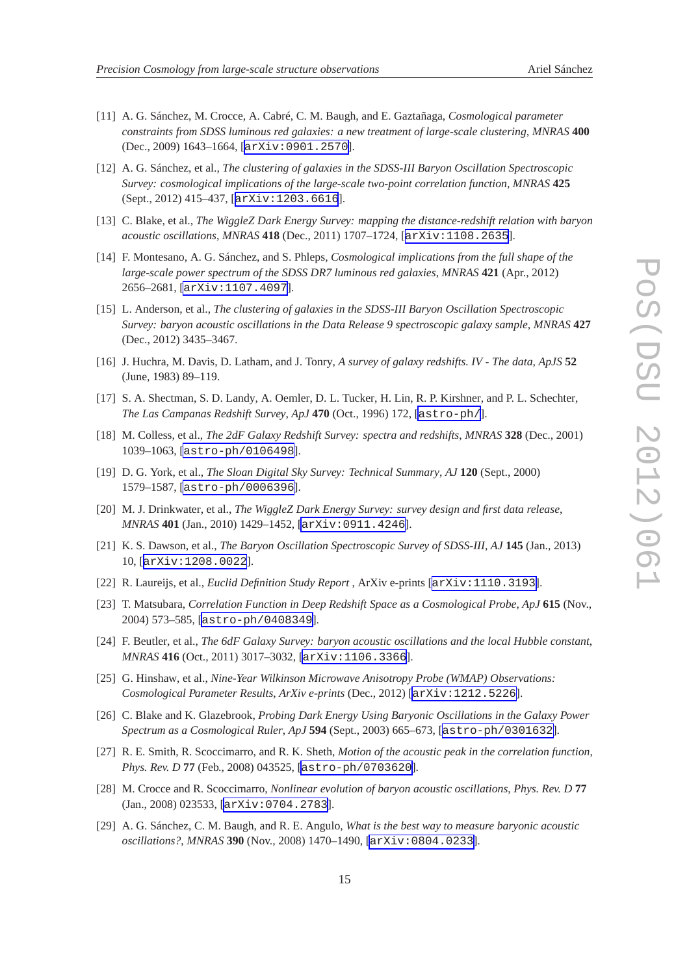- <span id="page-14-0"></span>[11] A. G. Sánchez, M. Crocce, A. Cabré, C. M. Baugh, and E. Gaztañaga, *Cosmological parameter constraints from SDSS luminous red galaxies: a new treatment of large-scale clustering*, *MNRAS* **400** (Dec., 2009) 1643–1664, [[arXiv:0901.2570](http://xxx.lanl.gov/abs/0901.2570)].
- [12] A. G. Sánchez, et al., *The clustering of galaxies in the SDSS-III Baryon Oscillation Spectroscopic Survey: cosmological implications of the large-scale two-point correlation function*, *MNRAS* **425** (Sept., 2012) 415–437, [[arXiv:1203.6616](http://xxx.lanl.gov/abs/1203.6616)].
- [13] C. Blake, et al., *The WiggleZ Dark Energy Survey: mapping the distance-redshift relation with baryon acoustic oscillations*, *MNRAS* **418** (Dec., 2011) 1707–1724, [[arXiv:1108.2635](http://xxx.lanl.gov/abs/1108.2635)].
- [14] F. Montesano, A. G. Sánchez, and S. Phleps, *Cosmological implications from the full shape of the large-scale power spectrum of the SDSS DR7 luminous red galaxies*, *MNRAS* **421** (Apr., 2012) 2656–2681, [[arXiv:1107.4097](http://xxx.lanl.gov/abs/1107.4097)].
- [15] L. Anderson, et al., *The clustering of galaxies in the SDSS-III Baryon Oscillation Spectroscopic Survey: baryon acoustic oscillations in the Data Release 9 spectroscopic galaxy sample*, *MNRAS* **427** (Dec., 2012) 3435–3467.
- [16] J. Huchra, M. Davis, D. Latham, and J. Tonry, *A survey of galaxy redshifts. IV The data*, *ApJS* **52** (June, 1983) 89–119.
- [17] S. A. Shectman, S. D. Landy, A. Oemler, D. L. Tucker, H. Lin, R. P. Kirshner, and P. L. Schechter, *The Las Campanas Redshift Survey*, *ApJ* **470** (Oct., 1996) 172, [[astro-ph/](http://xxx.lanl.gov/abs/astro-ph/)].
- [18] M. Colless, et al., *The 2dF Galaxy Redshift Survey: spectra and redshifts*, *MNRAS* **328** (Dec., 2001) 1039–1063, [[astro-ph/0106498](http://xxx.lanl.gov/abs/astro-ph/0106498)].
- [19] D. G. York, et al., *The Sloan Digital Sky Survey: Technical Summary*, *AJ* **120** (Sept., 2000) 1579–1587, [[astro-ph/0006396](http://xxx.lanl.gov/abs/astro-ph/0006396)].
- [20] M. J. Drinkwater, et al., *The WiggleZ Dark Energy Survey: survey design and first data release*, *MNRAS* **401** (Jan., 2010) 1429–1452, [[arXiv:0911.4246](http://xxx.lanl.gov/abs/0911.4246)].
- [21] K. S. Dawson, et al., *The Baryon Oscillation Spectroscopic Survey of SDSS-III*, *AJ* **145** (Jan., 2013) 10, [[arXiv:1208.0022](http://xxx.lanl.gov/abs/1208.0022)].
- [22] R. Laureijs, et al., *Euclid Definition Study Report* , ArXiv e-prints [[arXiv:1110.3193](http://xxx.lanl.gov/abs/1110.3193)].
- [23] T. Matsubara, *Correlation Function in Deep Redshift Space as a Cosmological Probe*, *ApJ* **615** (Nov., 2004) 573–585, [[astro-ph/0408349](http://xxx.lanl.gov/abs/astro-ph/0408349)].
- [24] F. Beutler, et al., *The 6dF Galaxy Survey: baryon acoustic oscillations and the local Hubble constant*, *MNRAS* **416** (Oct., 2011) 3017–3032, [[arXiv:1106.3366](http://xxx.lanl.gov/abs/1106.3366)].
- [25] G. Hinshaw, et al., *Nine-Year Wilkinson Microwave Anisotropy Probe (WMAP) Observations: Cosmological Parameter Results*, *ArXiv e-prints* (Dec., 2012) [[arXiv:1212.5226](http://xxx.lanl.gov/abs/1212.5226)].
- [26] C. Blake and K. Glazebrook, *Probing Dark Energy Using Baryonic Oscillations in the Galaxy Power Spectrum as a Cosmological Ruler*, *ApJ* **594** (Sept., 2003) 665–673, [[astro-ph/0301632](http://xxx.lanl.gov/abs/astro-ph/0301632)].
- [27] R. E. Smith, R. Scoccimarro, and R. K. Sheth, *Motion of the acoustic peak in the correlation function*, *Phys. Rev. D* **77** (Feb., 2008) 043525, [[astro-ph/0703620](http://xxx.lanl.gov/abs/astro-ph/0703620)].
- [28] M. Crocce and R. Scoccimarro, *Nonlinear evolution of baryon acoustic oscillations*, *Phys. Rev. D* **77** (Jan., 2008) 023533, [[arXiv:0704.2783](http://xxx.lanl.gov/abs/0704.2783)].
- [29] A. G. Sánchez, C. M. Baugh, and R. E. Angulo, *What is the best way to measure baryonic acoustic oscillations?*, *MNRAS* **390** (Nov., 2008) 1470–1490, [[arXiv:0804.0233](http://xxx.lanl.gov/abs/0804.0233)].